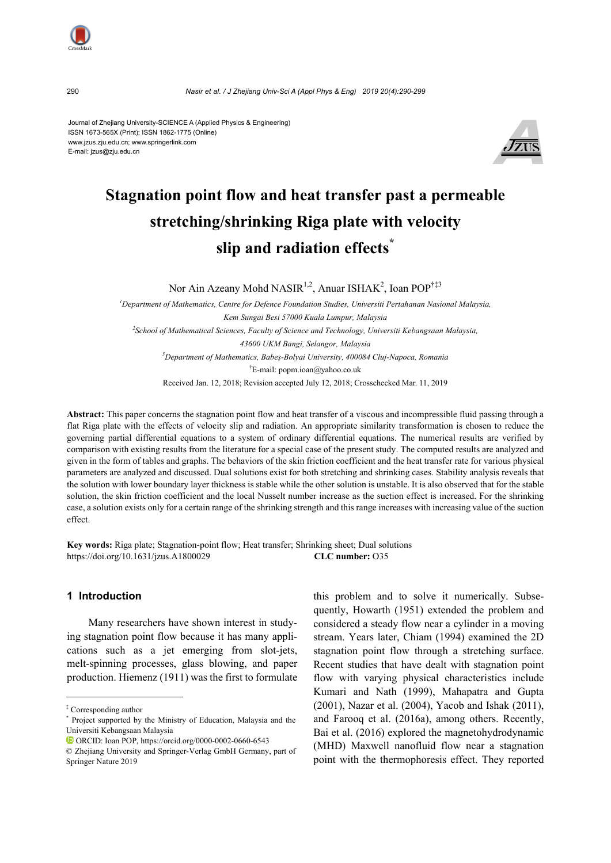

Journal of Zhejiang University-SCIENCE A (Applied Physics & Engineering) ISSN 1673-565X (Print); ISSN 1862-1775 (Online) www.jzus.zju.edu.cn; www.springerlink.com E-mail: jzus@zju.edu.cn



# **Stagnation point flow and heat transfer past a permeable stretching/shrinking Riga plate with velocity slip and radiation effects\***

Nor Ain Azeany Mohd NASIR<sup>1,2</sup>, Anuar ISHAK<sup>2</sup>, Ioan POP<sup>†‡3</sup>

<sup>1</sup> Department of Mathematics, Centre for Defence Foundation Studies, Universiti Pertahanan Nasional Malaysia, *Kem Sungai Besi 57000 Kuala Lumpur, Malaysia 2 School of Mathematical Sciences, Faculty of Science and Technology, Universiti Kebangsaan Malaysia, 43600 UKM Bangi, Selangor, Malaysia 3 Department of Mathematics, Babeş-Bolyai University, 400084 Cluj-Napoca, Romania*  † E-mail: popm.ioan@yahoo.co.uk Received Jan. 12, 2018; Revision accepted July 12, 2018; Crosschecked Mar. 11, 2019

**Abstract:** This paper concerns the stagnation point flow and heat transfer of a viscous and incompressible fluid passing through a flat Riga plate with the effects of velocity slip and radiation. An appropriate similarity transformation is chosen to reduce the governing partial differential equations to a system of ordinary differential equations. The numerical results are verified by comparison with existing results from the literature for a special case of the present study. The computed results are analyzed and given in the form of tables and graphs. The behaviors of the skin friction coefficient and the heat transfer rate for various physical parameters are analyzed and discussed. Dual solutions exist for both stretching and shrinking cases. Stability analysis reveals that the solution with lower boundary layer thickness is stable while the other solution is unstable. It is also observed that for the stable solution, the skin friction coefficient and the local Nusselt number increase as the suction effect is increased. For the shrinking case, a solution exists only for a certain range of the shrinking strength and this range increases with increasing value of the suction effect.

**Key words:** Riga plate; Stagnation-point flow; Heat transfer; Shrinking sheet; Dual solutions https://doi.org/10.1631/jzus.A1800029 **CLC number:** O35

#### **1 Introduction**

Many researchers have shown interest in studying stagnation point flow because it has many applications such as a jet emerging from slot-jets, melt-spinning processes, glass blowing, and paper production. Hiemenz (1911) was the first to formulate this problem and to solve it numerically. Subsequently, Howarth (1951) extended the problem and considered a steady flow near a cylinder in a moving stream. Years later, Chiam (1994) examined the 2D stagnation point flow through a stretching surface. Recent studies that have dealt with stagnation point flow with varying physical characteristics include Kumari and Nath (1999), Mahapatra and Gupta (2001), Nazar et al. (2004), Yacob and Ishak (2011), and Farooq et al. (2016a), among others. Recently, Bai et al. (2016) explored the magnetohydrodynamic (MHD) Maxwell nanofluid flow near a stagnation point with the thermophoresis effect. They reported

<sup>‡</sup> Corresponding author

<sup>\*</sup> Project supported by the Ministry of Education, Malaysia and the Universiti Kebangsaan Malaysia

ORCID: Ioan POP, https://orcid.org/0000-0002-0660-6543

<sup>©</sup> Zhejiang University and Springer-Verlag GmbH Germany, part of Springer Nature 2019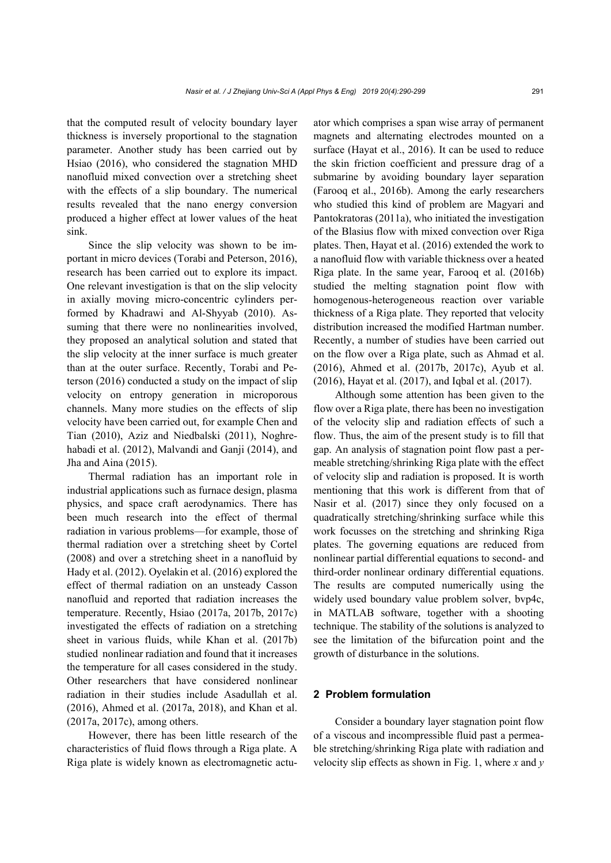that the computed result of velocity boundary layer thickness is inversely proportional to the stagnation parameter. Another study has been carried out by Hsiao (2016), who considered the stagnation MHD nanofluid mixed convection over a stretching sheet with the effects of a slip boundary. The numerical results revealed that the nano energy conversion produced a higher effect at lower values of the heat sink.

Since the slip velocity was shown to be important in micro devices (Torabi and Peterson, 2016), research has been carried out to explore its impact. One relevant investigation is that on the slip velocity in axially moving micro-concentric cylinders performed by Khadrawi and Al-Shyyab (2010). Assuming that there were no nonlinearities involved, they proposed an analytical solution and stated that the slip velocity at the inner surface is much greater than at the outer surface. Recently, Torabi and Peterson (2016) conducted a study on the impact of slip velocity on entropy generation in microporous channels. Many more studies on the effects of slip velocity have been carried out, for example Chen and Tian (2010), Aziz and Niedbalski (2011), Noghrehabadi et al. (2012), Malvandi and Ganji (2014), and Jha and Aina (2015).

Thermal radiation has an important role in industrial applications such as furnace design, plasma physics, and space craft aerodynamics. There has been much research into the effect of thermal radiation in various problems—for example, those of thermal radiation over a stretching sheet by Cortel (2008) and over a stretching sheet in a nanofluid by Hady et al. (2012). Oyelakin et al. (2016) explored the effect of thermal radiation on an unsteady Casson nanofluid and reported that radiation increases the temperature. Recently, Hsiao (2017a, 2017b, 2017c) investigated the effects of radiation on a stretching sheet in various fluids, while Khan et al. (2017b) studied nonlinear radiation and found that it increases the temperature for all cases considered in the study. Other researchers that have considered nonlinear radiation in their studies include Asadullah et al. (2016), Ahmed et al. (2017a, 2018), and Khan et al. (2017a, 2017c), among others.

However, there has been little research of the characteristics of fluid flows through a Riga plate. A Riga plate is widely known as electromagnetic actuator which comprises a span wise array of permanent magnets and alternating electrodes mounted on a surface (Hayat et al., 2016). It can be used to reduce the skin friction coefficient and pressure drag of a submarine by avoiding boundary layer separation (Farooq et al., 2016b). Among the early researchers who studied this kind of problem are Magyari and Pantokratoras (2011a), who initiated the investigation of the Blasius flow with mixed convection over Riga plates. Then, Hayat et al. (2016) extended the work to a nanofluid flow with variable thickness over a heated Riga plate. In the same year, Farooq et al. (2016b) studied the melting stagnation point flow with homogenous-heterogeneous reaction over variable thickness of a Riga plate. They reported that velocity distribution increased the modified Hartman number. Recently, a number of studies have been carried out on the flow over a Riga plate, such as Ahmad et al. (2016), Ahmed et al. (2017b, 2017c), Ayub et al. (2016), Hayat et al. (2017), and Iqbal et al. (2017).

Although some attention has been given to the flow over a Riga plate, there has been no investigation of the velocity slip and radiation effects of such a flow. Thus, the aim of the present study is to fill that gap. An analysis of stagnation point flow past a permeable stretching/shrinking Riga plate with the effect of velocity slip and radiation is proposed. It is worth mentioning that this work is different from that of Nasir et al. (2017) since they only focused on a quadratically stretching/shrinking surface while this work focusses on the stretching and shrinking Riga plates. The governing equations are reduced from nonlinear partial differential equations to second- and third-order nonlinear ordinary differential equations. The results are computed numerically using the widely used boundary value problem solver, bvp4c, in MATLAB software, together with a shooting technique. The stability of the solutions is analyzed to see the limitation of the bifurcation point and the growth of disturbance in the solutions.

#### **2 Problem formulation**

Consider a boundary layer stagnation point flow of a viscous and incompressible fluid past a permeable stretching/shrinking Riga plate with radiation and velocity slip effects as shown in Fig. 1, where *x* and *y*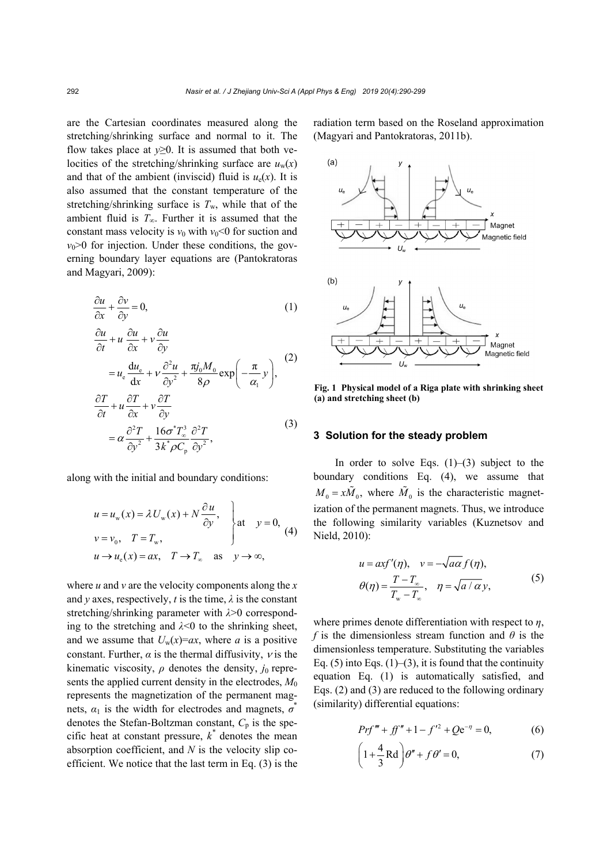are the Cartesian coordinates measured along the stretching/shrinking surface and normal to it. The flow takes place at  $y \ge 0$ . It is assumed that both velocities of the stretching/shrinking surface are  $u_w(x)$ and that of the ambient (inviscid) fluid is  $u_e(x)$ . It is also assumed that the constant temperature of the stretching/shrinking surface is  $T_w$ , while that of the ambient fluid is  $T_{\infty}$ . Further it is assumed that the constant mass velocity is  $v_0$  with  $v_0 < 0$  for suction and  $v_0$  $\geq 0$  for injection. Under these conditions, the governing boundary layer equations are (Pantokratoras and Magyari, 2009):

$$
\frac{\partial u}{\partial x} + \frac{\partial v}{\partial y} = 0,\tag{1}
$$

$$
\frac{\partial u}{\partial t} + u \frac{\partial u}{\partial x} + v \frac{\partial u}{\partial y}
$$
\n
$$
\frac{du}{du_{\theta}} = \frac{\partial^2 u}{\partial y} \frac{\pi j_0 M_0}{\pi} \left(\frac{\pi}{\pi}\right)
$$
\n(2)

$$
= u_{e} \frac{du_{e}}{dx} + v \frac{\partial u}{\partial y^{2}} + \frac{y_{0}u_{0}}{8\rho} \exp\left(-\frac{\pi}{\alpha_{1}} y\right),
$$
  

$$
\frac{\partial T}{\partial t} + u \frac{\partial T}{\partial x} + v \frac{\partial T}{\partial y}
$$
 (3)

$$
=\alpha \frac{\partial^2 T}{\partial y^2} + \frac{16\sigma^* T_\infty^3}{3k^* \rho C_{\text{p}}} \frac{\partial^2 T}{\partial y^2},
$$

along with the initial and boundary conditions:

$$
u = u_w(x) = \lambda U_w(x) + N \frac{\partial u}{\partial y},
$$
  
\n
$$
v = v_0, \quad T = T_w,
$$
  
\n
$$
u \rightarrow u_e(x) = ax, \quad T \rightarrow T_w \quad \text{as} \quad y \rightarrow \infty,
$$
  
\n
$$
(4)
$$

where *u* and *v* are the velocity components along the *x* and *y* axes, respectively, *t* is the time,  $\lambda$  is the constant stretching/shrinking parameter with *λ*>0 corresponding to the stretching and  $\lambda$ <0 to the shrinking sheet, and we assume that  $U_w(x)=ax$ , where *a* is a positive constant. Further,  $\alpha$  is the thermal diffusivity,  $\nu$  is the kinematic viscosity,  $\rho$  denotes the density,  $j_0$  represents the applied current density in the electrodes,  $M_0$ represents the magnetization of the permanent magnets,  $\alpha_1$  is the width for electrodes and magnets,  $\sigma^*$ denotes the Stefan-Boltzman constant,  $C_p$  is the specific heat at constant pressure,  $k^*$  denotes the mean absorption coefficient, and *N* is the velocity slip coefficient. We notice that the last term in Eq. (3) is the

radiation term based on the Roseland approximation (Magyari and Pantokratoras, 2011b).



**Fig. 1 Physical model of a Riga plate with shrinking sheet (a) and stretching sheet (b)**

#### **3 Solution for the steady problem**

In order to solve Eqs.  $(1)$ – $(3)$  subject to the boundary conditions Eq. (4), we assume that  $M_0 = x\tilde{M}_0$ , where  $\tilde{M}_0$  is the characteristic magnetization of the permanent magnets. Thus, we introduce the following similarity variables (Kuznetsov and Nield, 2010):

$$
u = \alpha x f'(\eta), \quad v = -\sqrt{\alpha \alpha} f(\eta),
$$
  

$$
\theta(\eta) = \frac{T - T_{\infty}}{T_{\infty} - T_{\infty}}, \quad \eta = \sqrt{\alpha / \alpha} y,
$$
 (5)

where primes denote differentiation with respect to *η*, *f* is the dimensionless stream function and *θ* is the dimensionless temperature. Substituting the variables Eq. (5) into Eqs. (1)–(3), it is found that the continuity equation Eq. (1) is automatically satisfied, and Eqs. (2) and (3) are reduced to the following ordinary (similarity) differential equations:

$$
Prf''' + ff'' + 1 - f'^2 + Qe^{-\eta} = 0,
$$
 (6)

$$
\left(1 + \frac{4}{3} \text{Rd}\right) \theta'' + f \theta' = 0,\tag{7}
$$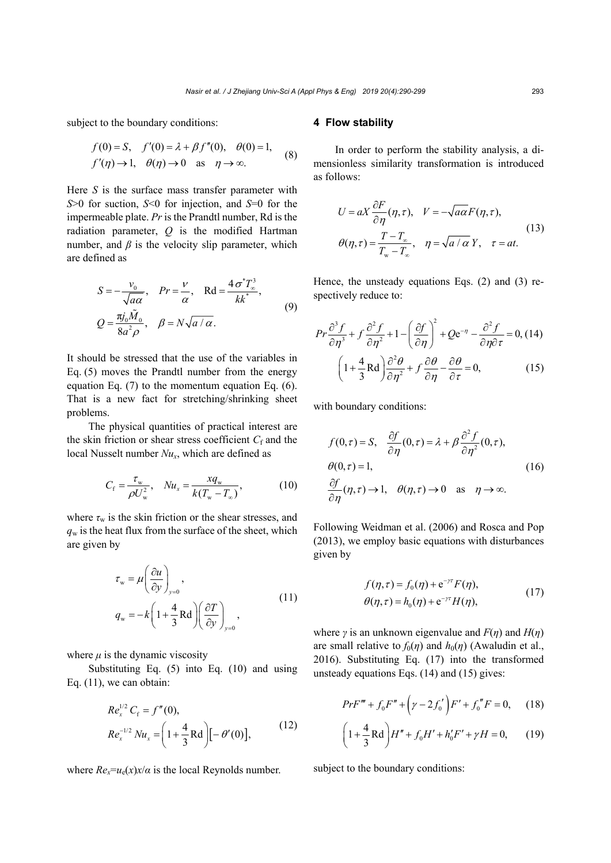subject to the boundary conditions:

$$
f(0) = S, f'(0) = \lambda + \beta f''(0), \quad \theta(0) = 1,
$$
  

$$
f'(\eta) \to 1, \quad \theta(\eta) \to 0 \quad \text{as} \quad \eta \to \infty.
$$
 (8)

Here *S* is the surface mass transfer parameter with *S*>0 for suction, *S*<0 for injection, and *S*=0 for the impermeable plate. *Pr* is the Prandtl number, Rd is the radiation parameter, *Q* is the modified Hartman number, and  $\beta$  is the velocity slip parameter, which are defined as

$$
S = -\frac{v_0}{\sqrt{a\alpha}}, \quad Pr = \frac{v}{\alpha}, \quad \text{Rd} = \frac{4\sigma^* T_{\infty}^3}{kk^*},
$$
  

$$
Q = \frac{\pi j_0 \tilde{M}_0}{8a^2 \rho}, \quad \beta = N \sqrt{a/\alpha}.
$$
 (9)

 $\ddot{\phantom{1}}$ 

It should be stressed that the use of the variables in Eq. (5) moves the Prandtl number from the energy equation Eq. (7) to the momentum equation Eq. (6). That is a new fact for stretching/shrinking sheet problems.

The physical quantities of practical interest are the skin friction or shear stress coefficient  $C_f$  and the local Nusselt number *Nux*, which are defined as

$$
C_{\rm f} = \frac{\tau_{\rm w}}{\rho U_{\rm w}^2}, \quad Nu_{\rm x} = \frac{xq_{\rm w}}{k(T_{\rm w} - T_{\rm w})},\tag{10}
$$

where  $\tau_w$  is the skin friction or the shear stresses, and  $q_w$  is the heat flux from the surface of the sheet, which are given by

$$
\tau_{w} = \mu \left( \frac{\partial u}{\partial y} \right)_{y=0},
$$
\n
$$
q_{w} = -k \left( 1 + \frac{4}{3} \text{Rd} \right) \left( \frac{\partial T}{\partial y} \right)_{y=0},
$$
\n(11)

where  $\mu$  is the dynamic viscosity

Substituting Eq. (5) into Eq. (10) and using Eq. (11), we can obtain:

$$
Re_x^{1/2} C_f = f''(0),
$$
  
\n
$$
Re_x^{-1/2} Nu_x = \left(1 + \frac{4}{3} \text{Rd}\right) \left[-\theta'(0)\right],
$$
\n(12)

where  $Re_x = u_e(x)x/a$  is the local Reynolds number.

#### **4 Flow stability**

In order to perform the stability analysis, a dimensionless similarity transformation is introduced as follows:

$$
U = aX \frac{\partial F}{\partial \eta}(\eta, \tau), \quad V = -\sqrt{a\alpha} F(\eta, \tau),
$$
  

$$
\theta(\eta, \tau) = \frac{T - T_{\infty}}{T_{\infty} - T_{\infty}}, \quad \eta = \sqrt{a/\alpha} Y, \quad \tau = at.
$$
 (13)

Hence, the unsteady equations Eqs. (2) and (3) respectively reduce to:

$$
Pr\frac{\partial^3 f}{\partial \eta^3} + f \frac{\partial^2 f}{\partial \eta^2} + 1 - \left(\frac{\partial f}{\partial \eta}\right)^2 + Qe^{-\eta} - \frac{\partial^2 f}{\partial \eta \partial \tau} = 0, (14)
$$

$$
\left(1 + \frac{4}{3} \text{Rd}\right) \frac{\partial^2 \theta}{\partial \eta^2} + f \frac{\partial \theta}{\partial \eta} - \frac{\partial \theta}{\partial \tau} = 0, \qquad (15)
$$

with boundary conditions:

$$
f(0,\tau) = S, \quad \frac{\partial f}{\partial \eta}(0,\tau) = \lambda + \beta \frac{\partial^2 f}{\partial \eta^2}(0,\tau),
$$
  
\n
$$
\theta(0,\tau) = 1,
$$
  
\n
$$
\frac{\partial f}{\partial \eta}(\eta,\tau) \to 1, \quad \theta(\eta,\tau) \to 0 \quad \text{as} \quad \eta \to \infty.
$$
 (16)

Following Weidman et al. (2006) and Rosca and Pop (2013), we employ basic equations with disturbances given by

$$
f(\eta, \tau) = f_0(\eta) + e^{-\gamma \tau} F(\eta),
$$
  
\n
$$
\theta(\eta, \tau) = h_0(\eta) + e^{-\gamma \tau} H(\eta),
$$
\n(17)

where *γ* is an unknown eigenvalue and  $F(\eta)$  and  $H(\eta)$ are small relative to  $f_0(\eta)$  and  $h_0(\eta)$  (Awaludin et al., 2016). Substituting Eq. (17) into the transformed unsteady equations Eqs. (14) and (15) gives:

$$
PrF''' + f_0F'' + (\gamma - 2f_0')F' + f_0''F = 0, \quad (18)
$$

$$
\left(1 + \frac{4}{3} \text{Rd}\right) H'' + f_0 H' + h'_0 F' + \gamma H = 0, \qquad (19)
$$

subject to the boundary conditions: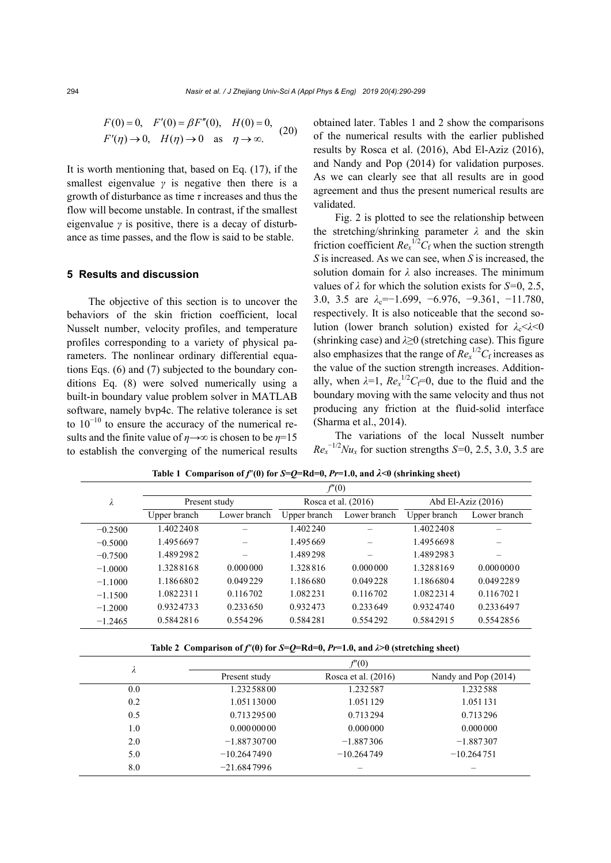$$
F(0) = 0, F'(0) = \beta F''(0), H(0) = 0,
$$
  

$$
F'(\eta) \to 0, H(\eta) \to 0 \text{ as } \eta \to \infty.
$$
 (20)

It is worth mentioning that, based on Eq. (17), if the smallest eigenvalue  $\gamma$  is negative then there is a growth of disturbance as time *τ* increases and thus the flow will become unstable. In contrast, if the smallest eigenvalue *γ* is positive, there is a decay of disturbance as time passes, and the flow is said to be stable.

#### **5 Results and discussion**

The objective of this section is to uncover the behaviors of the skin friction coefficient, local Nusselt number, velocity profiles, and temperature profiles corresponding to a variety of physical parameters. The nonlinear ordinary differential equations Eqs. (6) and (7) subjected to the boundary conditions Eq. (8) were solved numerically using a built-in boundary value problem solver in MATLAB software, namely bvp4c. The relative tolerance is set to  $10^{-10}$  to ensure the accuracy of the numerical results and the finite value of  $\eta \rightarrow \infty$  is chosen to be  $\eta = 15$ to establish the converging of the numerical results obtained later. Tables 1 and 2 show the comparisons of the numerical results with the earlier published results by Rosca et al. (2016), Abd El-Aziz (2016), and Nandy and Pop (2014) for validation purposes. As we can clearly see that all results are in good agreement and thus the present numerical results are validated.

Fig. 2 is plotted to see the relationship between the stretching/shrinking parameter *λ* and the skin friction coefficient  $Re<sub>x</sub><sup>1/2</sup>C<sub>f</sub>$  when the suction strength *S* is increased. As we can see, when *S* is increased, the solution domain for *λ* also increases. The minimum values of *λ* for which the solution exists for *S=*0, 2.5, 3.0, 3.5 are *λ*c=−1.699, −6.976, −9.361, −11.780, respectively. It is also noticeable that the second solution (lower branch solution) existed for  $\lambda_c < \lambda < 0$ (shrinking case) and *λ*≥0 (stretching case). This figure also emphasizes that the range of  $Re<sub>x</sub><sup>1/2</sup>C<sub>f</sub>$  increases as the value of the suction strength increases. Additionally, when  $\lambda=1$ ,  $Re_x^{1/2}C_f=0$ , due to the fluid and the boundary moving with the same velocity and thus not producing any friction at the fluid-solid interface (Sharma et al., 2014).

The variations of the local Nusselt number  $Re_x^{-1/2}Nu_x$  for suction strengths *S*=0, 2.5, 3.0, 3.5 are

|           | f''(0)        |              |                     |              |                      |              |  |
|-----------|---------------|--------------|---------------------|--------------|----------------------|--------------|--|
| λ         | Present study |              | Rosca et al. (2016) |              | Abd El-Aziz $(2016)$ |              |  |
|           | Upper branch  | Lower branch | Upper branch        | Lower branch | Upper branch         | Lower branch |  |
| $-0.2500$ | 1.4022408     |              | 1.402240            |              | 1.4022408            |              |  |
| $-0.5000$ | 1.4956697     |              | 1.495669            |              | 1.4956698            |              |  |
| $-0.7500$ | 1.4892982     |              | 1.489298            |              | 1.4892983            |              |  |
| $-1.0000$ | 1.3288168     | 0.000000     | 1.328816            | 0.000000     | 1.3288169            | 0.0000000    |  |
| $-1.1000$ | 1.1866802     | 0.049229     | 1.186680            | 0.049228     | 1.1866804            | 0.0492289    |  |
| $-1.1500$ | 1.0822311     | 0.116702     | 1.082231            | 0.116702     | 1.0822314            | 0.1167021    |  |
| $-1.2000$ | 0.9324733     | 0.233650     | 0.932473            | 0.233649     | 0.9324740            | 0.2336497    |  |
| $-1.2465$ | 0.5842816     | 0.554296     | 0.584281            | 0.554292     | 0.5842915            | 0.5542856    |  |

**Table 1 Comparison of**  $f''(0)$  **for**  $S = Q = Rd = 0$ **,**  $Pr = 1.0$ **, and**  $\lambda < 0$  **(shrinking sheet)** 

**Table 2 Comparison of**  $f''(0)$  **for**  $S=Q=Rd=0$ **,**  $Pr=1.0$ **, and**  $\lambda>0$  **(stretching sheet)** 

|     | f''(0)        |                       |                      |  |  |  |
|-----|---------------|-----------------------|----------------------|--|--|--|
| л   | Present study | Rosca et al. $(2016)$ | Nandy and Pop (2014) |  |  |  |
| 0.0 | 1.23258800    | 1.232587              | 1.232588             |  |  |  |
| 0.2 | 1.05113000    | 1.051129              | 1.051131             |  |  |  |
| 0.5 | 0.71329500    | 0.713294              | 0.713296             |  |  |  |
| 1.0 | 0.00000000    | 0.000000              | 0.000000             |  |  |  |
| 2.0 | $-1.88730700$ | $-1.887306$           | $-1.887307$          |  |  |  |
| 5.0 | $-10.2647490$ | $-10.264749$          | $-10.264751$         |  |  |  |
| 8.0 | $-21.6847996$ |                       |                      |  |  |  |
|     |               |                       |                      |  |  |  |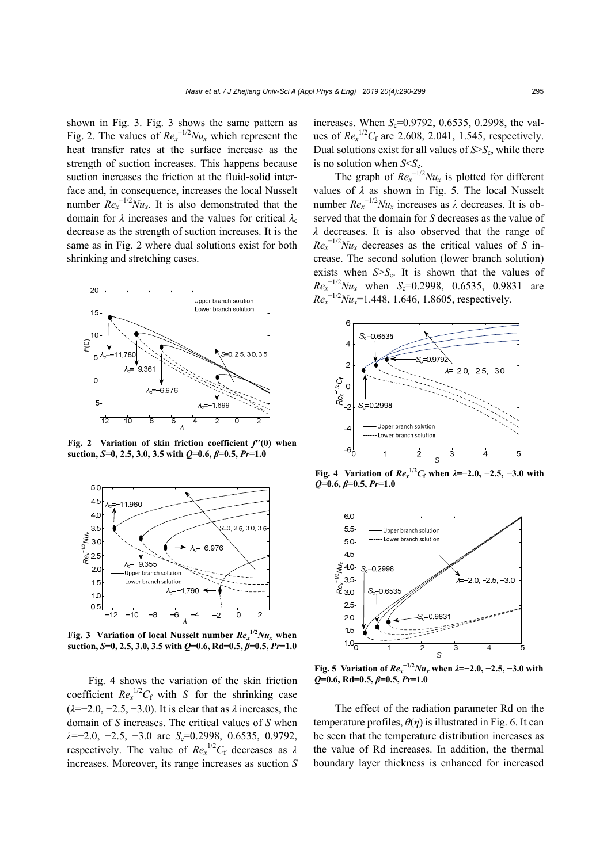shown in Fig. 3. Fig. 3 shows the same pattern as Fig. 2. The values of  $Re<sub>x</sub><sup>-1/2</sup>Nu<sub>x</sub>$  which represent the heat transfer rates at the surface increase as the strength of suction increases. This happens because suction increases the friction at the fluid-solid interface and, in consequence, increases the local Nusselt number  $Re_x^{-1/2}Nu_x$ . It is also demonstrated that the domain for *λ* increases and the values for critical *λ*<sup>c</sup> decrease as the strength of suction increases. It is the same as in Fig. 2 where dual solutions exist for both shrinking and stretching cases.



**Fig. 2 Variation of skin friction coefficient** *f***″(0) when suction,** *S***=0, 2.5, 3.0, 3.5 with** *Q***=0.6,** *β***=0.5,** *Pr***=1.0**



**Fig. 3** Variation of local Nusselt number  $Re_x^{1/2}Nu_x$  when

Fig. 4 shows the variation of the skin friction coefficient  $Re<sub>x</sub><sup>1/2</sup>C<sub>f</sub>$  with *S* for the shrinking case (*λ*=−2.0, −2.5, −3.0). It is clear that as *λ* increases, the domain of *S* increases. The critical values of *S* when *λ*=−2.0, −2.5, −3.0 are *S*<sub>c</sub>=0.2998, 0.6535, 0.9792, respectively. The value of  $Re<sub>x</sub><sup>1/2</sup>C<sub>f</sub>$  decreases as  $\lambda$ increases. Moreover, its range increases as suction *S*

increases. When  $S_c$ =0.9792, 0.6535, 0.2998, the values of  $Re_x^{1/2}C_f$  are 2.608, 2.041, 1.545, respectively. Dual solutions exist for all values of  $S > S<sub>c</sub>$ , while there is no solution when  $S \leq S_c$ .

The graph of  $Re<sub>x</sub><sup>-1/2</sup>Nu<sub>x</sub>$  is plotted for different values of *λ* as shown in Fig. 5. The local Nusselt number  $Re_x^{-1/2}Nu_x$  increases as  $\lambda$  decreases. It is observed that the domain for *S* decreases as the value of *λ* decreases. It is also observed that the range of  $Re_x^{-1/2}Nu_x$  decreases as the critical values of *S* increase. The second solution (lower branch solution) exists when  $S > S_c$ . It is shown that the values of  $Re_x^{-1/2}Nu_x$  when  $S_c=0.2998$ , 0.6535, 0.9831 are  $Re<sub>x</sub><sup>-1/2</sup>Nu<sub>x</sub>=1.448, 1.646, 1.8605, respectively.$ 



**Fig. 4** Variation of  $Re_x^{1/2}C_f$  when  $\lambda = -2.0, -2.5, -3.0$  with *Q***=0.6,** *β***=0.5,** *Pr***=1.0** 



**Fig. 5** Variation of  $Re_x^{-1/2}Nu_x$  when  $\lambda = -2.0, -2.5, -3.0$  with

The effect of the radiation parameter Rd on the temperature profiles,  $\theta(\eta)$  is illustrated in Fig. 6. It can be seen that the temperature distribution increases as the value of Rd increases. In addition, the thermal boundary layer thickness is enhanced for increased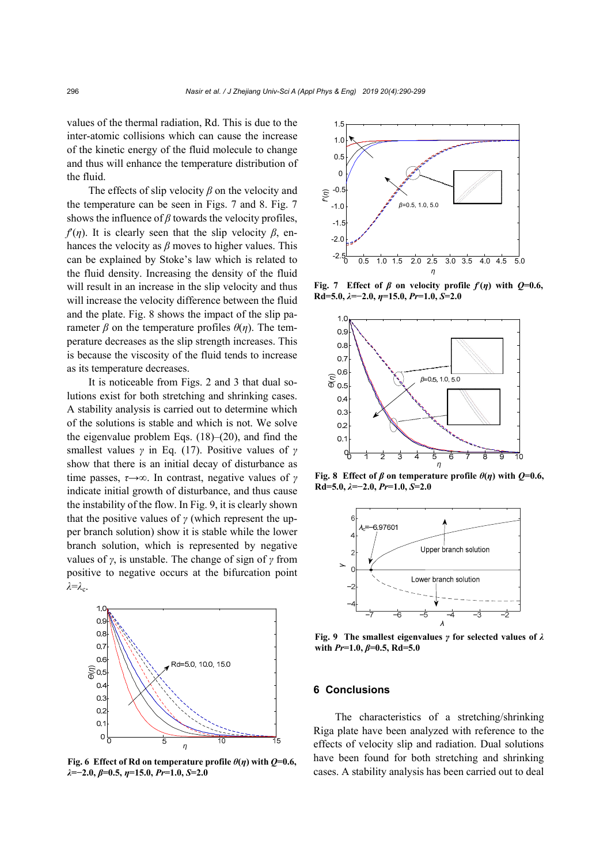values of the thermal radiation, Rd. This is due to the inter-atomic collisions which can cause the increase of the kinetic energy of the fluid molecule to change and thus will enhance the temperature distribution of the fluid.

The effects of slip velocity *β* on the velocity and the temperature can be seen in Figs. 7 and 8. Fig. 7 shows the influence of  $\beta$  towards the velocity profiles, *f*(*n*). It is clearly seen that the slip velocity  $\beta$ , enhances the velocity as *β* moves to higher values. This can be explained by Stoke's law which is related to the fluid density. Increasing the density of the fluid will result in an increase in the slip velocity and thus will increase the velocity difference between the fluid and the plate. Fig. 8 shows the impact of the slip parameter *β* on the temperature profiles *θ*(*η*). The temperature decreases as the slip strength increases. This is because the viscosity of the fluid tends to increase as its temperature decreases.

It is noticeable from Figs. 2 and 3 that dual solutions exist for both stretching and shrinking cases. A stability analysis is carried out to determine which of the solutions is stable and which is not. We solve the eigenvalue problem Eqs. (18)–(20), and find the smallest values *γ* in Eq. (17). Positive values of *γ* show that there is an initial decay of disturbance as time passes, *τ*→∞. In contrast, negative values of *γ* indicate initial growth of disturbance, and thus cause the instability of the flow. In Fig. 9, it is clearly shown that the positive values of  $\gamma$  (which represent the upper branch solution) show it is stable while the lower branch solution, which is represented by negative values of *γ*, is unstable. The change of sign of *γ* from positive to negative occurs at the bifurcation point *λ*=*λ*c.



**Fig. 6 Effect of Rd on temperature profile**  $\theta$ **(***η***) with**  $Q=0.6$ **,** *λ***=−2.0,** *β***=0.5,** *η***=15.0,** *Pr***=1.0,** *S***=2.0**



**Fig. 7** Effect of  $\beta$  on velocity profile  $f(\eta)$  with  $Q=0.6$ , **Rd=5.0,** *λ***=−2.0,** *η***=15.0,** *Pr***=1.0,** *S***=2.0** 



**Fig. 8** Effect of  $\beta$  on temperature profile  $\theta(\eta)$  with  $Q=0.6$ , **Rd=5.0,** *λ***=−2.0,** *Pr***=1.0,** *S***=2.0**



**Fig. 9 The smallest eigenvalues** *γ* **for selected values of** *λ* **with** *Pr***=1.0,** *β***=0.5, Rd=5.0** 

### **6 Conclusions**

The characteristics of a stretching/shrinking Riga plate have been analyzed with reference to the effects of velocity slip and radiation. Dual solutions have been found for both stretching and shrinking cases. A stability analysis has been carried out to deal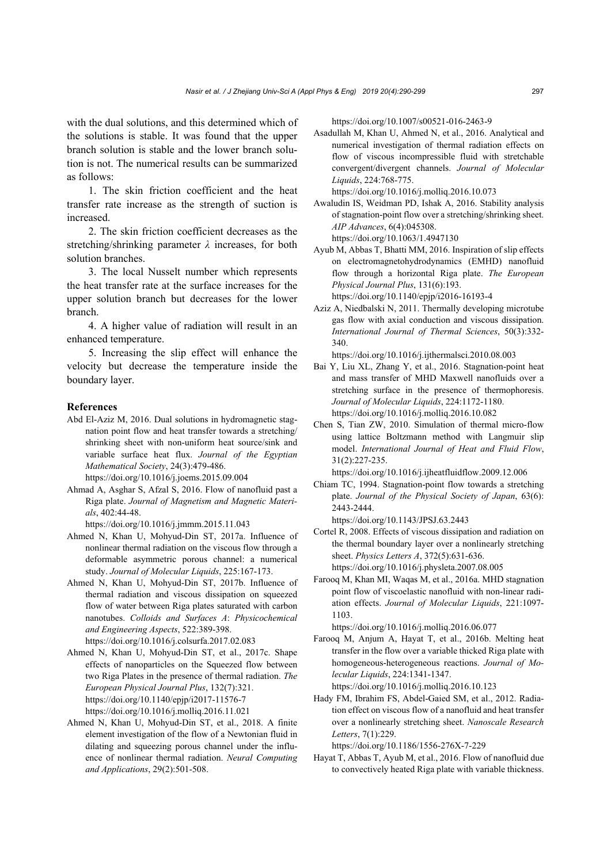with the dual solutions, and this determined which of the solutions is stable. It was found that the upper branch solution is stable and the lower branch solution is not. The numerical results can be summarized as follows:

1. The skin friction coefficient and the heat transfer rate increase as the strength of suction is increased.

2. The skin friction coefficient decreases as the stretching/shrinking parameter *λ* increases, for both solution branches.

3. The local Nusselt number which represents the heat transfer rate at the surface increases for the upper solution branch but decreases for the lower branch.

4. A higher value of radiation will result in an enhanced temperature.

5. Increasing the slip effect will enhance the velocity but decrease the temperature inside the boundary layer.

#### **References**

Abd El-Aziz M, 2016. Dual solutions in hydromagnetic stagnation point flow and heat transfer towards a stretching/ shrinking sheet with non-uniform heat source/sink and variable surface heat flux. *Journal of the Egyptian Mathematical Society*, 24(3):479-486.

https://doi.org/10.1016/j.joems.2015.09.004

Ahmad A, Asghar S, Afzal S, 2016. Flow of nanofluid past a Riga plate. *Journal of Magnetism and Magnetic Materials*, 402:44-48.

https://doi.org/10.1016/j.jmmm.2015.11.043

- Ahmed N, Khan U, Mohyud-Din ST, 2017a. Influence of nonlinear thermal radiation on the viscous flow through a deformable asymmetric porous channel: a numerical study. *Journal of Molecular Liquids*, 225:167-173.
- Ahmed N, Khan U, Mohyud-Din ST, 2017b. Influence of thermal radiation and viscous dissipation on squeezed flow of water between Riga plates saturated with carbon nanotubes. *Colloids and Surfaces A*: *Physicochemical and Engineering Aspects*, 522:389-398. https://doi.org/10.1016/j.colsurfa.2017.02.083
- Ahmed N, Khan U, Mohyud-Din ST, et al., 2017c. Shape effects of nanoparticles on the Squeezed flow between two Riga Plates in the presence of thermal radiation. *The European Physical Journal Plus*, 132(7):321. https://doi.org/10.1140/epjp/i2017-11576-7 https://doi.org/10.1016/j.molliq.2016.11.021
- Ahmed N, Khan U, Mohyud-Din ST, et al., 2018. A finite element investigation of the flow of a Newtonian fluid in dilating and squeezing porous channel under the influence of nonlinear thermal radiation. *Neural Computing and Applications*, 29(2):501-508.

https://doi.org/10.1007/s00521-016-2463-9

Asadullah M, Khan U, Ahmed N, et al., 2016. Analytical and numerical investigation of thermal radiation effects on flow of viscous incompressible fluid with stretchable convergent/divergent channels. *Journal of Molecular Liquids*, 224:768-775.

https://doi.org/10.1016/j.molliq.2016.10.073

- Awaludin IS, Weidman PD, Ishak A, 2016. Stability analysis of stagnation-point flow over a stretching/shrinking sheet. *AIP Advances*, 6(4):045308. https://doi.org/10.1063/1.4947130
- Ayub M, Abbas T, Bhatti MM, 2016. Inspiration of slip effects on electromagnetohydrodynamics (EMHD) nanofluid flow through a horizontal Riga plate. *The European Physical Journal Plus*, 131(6):193. https://doi.org/10.1140/epjp/i2016-16193-4
- Aziz A, Niedbalski N, 2011. Thermally developing microtube gas flow with axial conduction and viscous dissipation. *International Journal of Thermal Sciences*, 50(3):332- 340.

https://doi.org/10.1016/j.ijthermalsci.2010.08.003

- Bai Y, Liu XL, Zhang Y, et al., 2016. Stagnation-point heat and mass transfer of MHD Maxwell nanofluids over a stretching surface in the presence of thermophoresis. *Journal of Molecular Liquids*, 224:1172-1180. https://doi.org/10.1016/j.molliq.2016.10.082
- Chen S, Tian ZW, 2010. Simulation of thermal micro-flow using lattice Boltzmann method with Langmuir slip model. *International Journal of Heat and Fluid Flow*, 31(2):227-235.

https://doi.org/10.1016/j.ijheatfluidflow.2009.12.006

Chiam TC, 1994. Stagnation-point flow towards a stretching plate. *Journal of the Physical Society of Japan*, 63(6): 2443-2444.

https://doi.org/10.1143/JPSJ.63.2443

- Cortel R, 2008. Effects of viscous dissipation and radiation on the thermal boundary layer over a nonlinearly stretching sheet. *Physics Letters A*, 372(5):631-636. https://doi.org/10.1016/j.physleta.2007.08.005
- Farooq M, Khan MI, Waqas M, et al., 2016a. MHD stagnation point flow of viscoelastic nanofluid with non-linear radiation effects. *Journal of Molecular Liquids*, 221:1097- 1103.

https://doi.org/10.1016/j.molliq.2016.06.077

- Farooq M, Anjum A, Hayat T, et al., 2016b. Melting heat transfer in the flow over a variable thicked Riga plate with homogeneous-heterogeneous reactions. *Journal of Molecular Liquids*, 224:1341-1347. https://doi.org/10.1016/j.molliq.2016.10.123
- Hady FM, Ibrahim FS, Abdel-Gaied SM, et al., 2012. Radiation effect on viscous flow of a nanofluid and heat transfer over a nonlinearly stretching sheet. *Nanoscale Research Letters*, 7(1):229.

https://doi.org/10.1186/1556-276X-7-229

Hayat T, Abbas T, Ayub M, et al., 2016. Flow of nanofluid due to convectively heated Riga plate with variable thickness.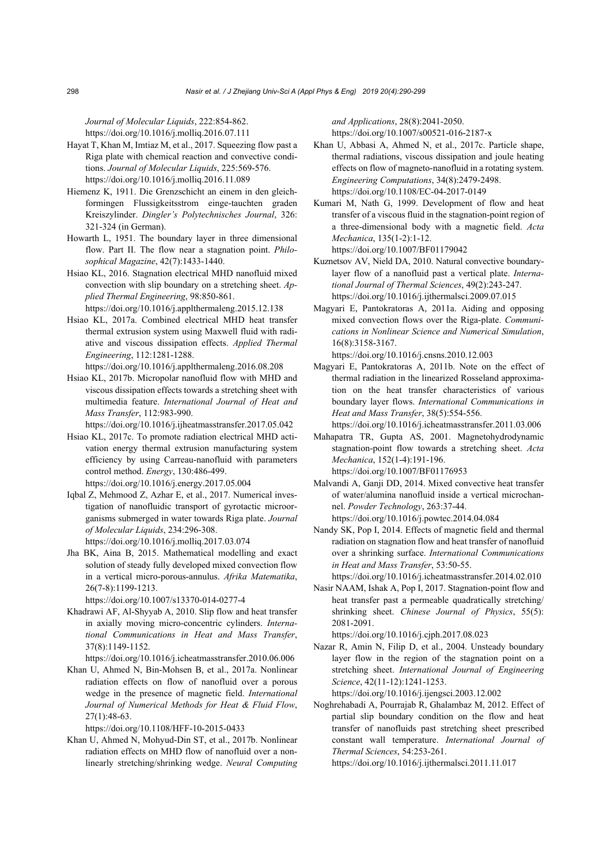*Journal of Molecular Liquids*, 222:854-862. https://doi.org/10.1016/j.molliq.2016.07.111

- Hayat T, Khan M, Imtiaz M, et al., 2017. Squeezing flow past a Riga plate with chemical reaction and convective conditions. *Journal of Molecular Liquids*, 225:569-576. https://doi.org/10.1016/j.molliq.2016.11.089
- Hiemenz K, 1911. Die Grenzschicht an einem in den gleichformingen Flussigkeitsstrom einge-tauchten graden Kreiszylinder. *Dingler's Polytechnisches Journal*, 326: 321-324 (in German).
- Howarth L, 1951. The boundary layer in three dimensional flow. Part II. The flow near a stagnation point. *Philosophical Magazine*, 42(7):1433-1440.
- Hsiao KL, 2016. Stagnation electrical MHD nanofluid mixed convection with slip boundary on a stretching sheet. *Applied Thermal Engineering*, 98:850-861. https://doi.org/10.1016/j.applthermaleng.2015.12.138
- Hsiao KL, 2017a. Combined electrical MHD heat transfer thermal extrusion system using Maxwell fluid with radiative and viscous dissipation effects. *Applied Thermal Engineering*, 112:1281-1288. https://doi.org/10.1016/j.applthermaleng.2016.08.208
- Hsiao KL, 2017b. Micropolar nanofluid flow with MHD and viscous dissipation effects towards a stretching sheet with multimedia feature. *International Journal of Heat and Mass Transfer*, 112:983-990.

https://doi.org/10.1016/j.ijheatmasstransfer.2017.05.042

- Hsiao KL, 2017c. To promote radiation electrical MHD activation energy thermal extrusion manufacturing system efficiency by using Carreau-nanofluid with parameters control method. *Energy*, 130:486-499. https://doi.org/10.1016/j.energy.2017.05.004
- Iqbal Z, Mehmood Z, Azhar E, et al., 2017. Numerical investigation of nanofluidic transport of gyrotactic microorganisms submerged in water towards Riga plate. *Journal of Molecular Liquids*, 234:296-308. https://doi.org/10.1016/j.molliq.2017.03.074
- Jha BK, Aina B, 2015. Mathematical modelling and exact solution of steady fully developed mixed convection flow in a vertical micro-porous-annulus. *Afrika Matematika*, 26(7-8):1199-1213.

https://doi.org/10.1007/s13370-014-0277-4

Khadrawi AF, Al-Shyyab A, 2010. Slip flow and heat transfer in axially moving micro-concentric cylinders. *International Communications in Heat and Mass Transfer*, 37(8):1149-1152.

https://doi.org/10.1016/j.icheatmasstransfer.2010.06.006

Khan U, Ahmed N, Bin-Mohsen B, et al., 2017a. Nonlinear radiation effects on flow of nanofluid over a porous wedge in the presence of magnetic field. *International Journal of Numerical Methods for Heat & Fluid Flow*, 27(1):48-63.

https://doi.org/10.1108/HFF-10-2015-0433

Khan U, Ahmed N, Mohyud-Din ST, et al., 2017b. Nonlinear radiation effects on MHD flow of nanofluid over a nonlinearly stretching/shrinking wedge. *Neural Computing*  *and Applications*, 28(8):2041-2050. https://doi.org/10.1007/s00521-016-2187-x

- Khan U, Abbasi A, Ahmed N, et al., 2017c. Particle shape, thermal radiations, viscous dissipation and joule heating effects on flow of magneto-nanofluid in a rotating system. *Engineering Computations*, 34(8):2479-2498. https://doi.org/10.1108/EC-04-2017-0149
- Kumari M, Nath G, 1999. Development of flow and heat transfer of a viscous fluid in the stagnation-point region of a three-dimensional body with a magnetic field. *Acta Mechanica*, 135(1-2):1-12. https://doi.org/10.1007/BF01179042
- Kuznetsov AV, Nield DA, 2010. Natural convective boundarylayer flow of a nanofluid past a vertical plate. *International Journal of Thermal Sciences*, 49(2):243-247. https://doi.org/10.1016/j.ijthermalsci.2009.07.015
- Magyari E, Pantokratoras A, 2011a. Aiding and opposing mixed convection flows over the Riga-plate. *Communications in Nonlinear Science and Numerical Simulation*, 16(8):3158-3167.

https://doi.org/10.1016/j.cnsns.2010.12.003

Magyari E, Pantokratoras A, 2011b. Note on the effect of thermal radiation in the linearized Rosseland approximation on the heat transfer characteristics of various boundary layer flows. *International Communications in Heat and Mass Transfer*, 38(5):554-556.

https://doi.org/10.1016/j.icheatmasstransfer.2011.03.006

Mahapatra TR, Gupta AS, 2001. Magnetohydrodynamic stagnation-point flow towards a stretching sheet. *Acta Mechanica*, 152(1-4):191-196. https://doi.org/10.1007/BF01176953

Malvandi A, Ganji DD, 2014. Mixed convective heat transfer of water/alumina nanofluid inside a vertical microchannel. *Powder Technology*, 263:37-44. https://doi.org/10.1016/j.powtec.2014.04.084

Nandy SK, Pop I, 2014. Effects of magnetic field and thermal radiation on stagnation flow and heat transfer of nanofluid over a shrinking surface. *International Communications in Heat and Mass Transfer*, 53:50-55.

https://doi.org/10.1016/j.icheatmasstransfer.2014.02.010

Nasir NAAM, Ishak A, Pop I, 2017. Stagnation-point flow and heat transfer past a permeable quadratically stretching/ shrinking sheet. *Chinese Journal of Physics*, 55(5): 2081-2091.

https://doi.org/10.1016/j.cjph.2017.08.023

Nazar R, Amin N, Filip D, et al., 2004. Unsteady boundary layer flow in the region of the stagnation point on a stretching sheet. *International Journal of Engineering Science*, 42(11-12):1241-1253. https://doi.org/10.1016/j.ijengsci.2003.12.002

Noghrehabadi A, Pourrajab R, Ghalambaz M, 2012. Effect of partial slip boundary condition on the flow and heat

transfer of nanofluids past stretching sheet prescribed constant wall temperature. *International Journal of Thermal Sciences*, 54:253-261.

https://doi.org/10.1016/j.ijthermalsci.2011.11.017